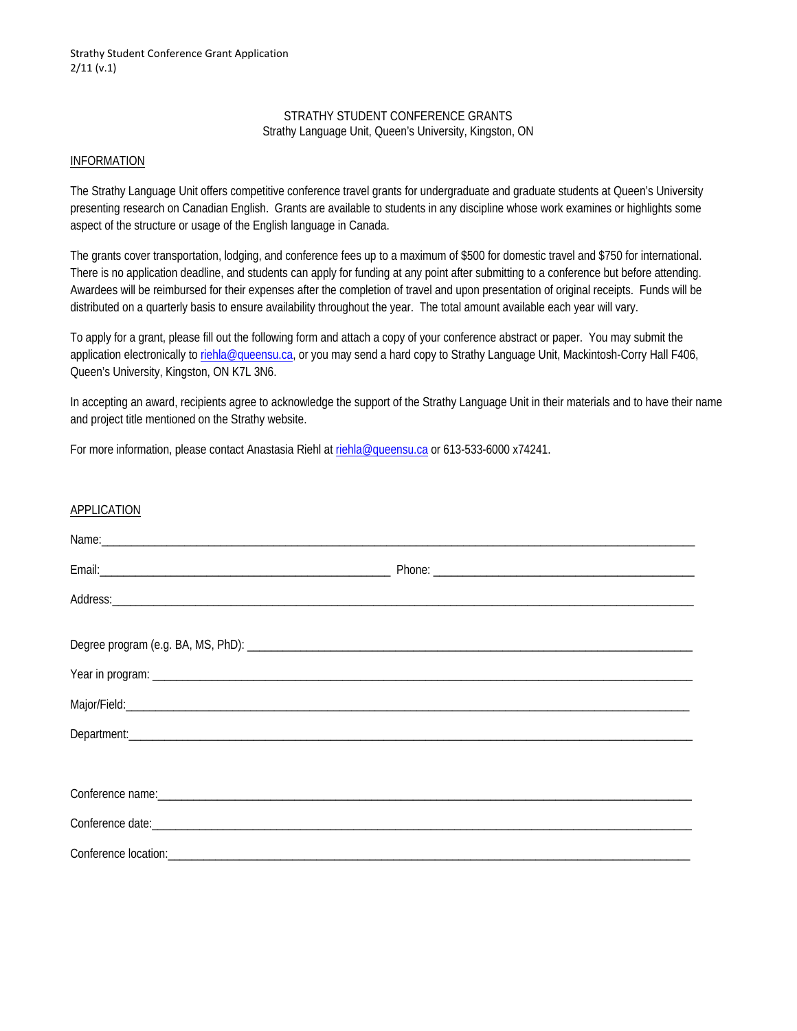## STRATHY STUDENT CONFERENCE GRANTS Strathy Language Unit, Queen's University, Kingston, ON

## INFORMATION

The Strathy Language Unit offers competitive conference travel grants for undergraduate and graduate students at Queen's University presenting research on Canadian English. Grants are available to students in any discipline whose work examines or highlights some aspect of the structure or usage of the English language in Canada.

The grants cover transportation, lodging, and conference fees up to a maximum of \$500 for domestic travel and \$750 for international. There is no application deadline, and students can apply for funding at any point after submitting to a conference but before attending. Awardees will be reimbursed for their expenses after the completion of travel and upon presentation of original receipts. Funds will be distributed on a quarterly basis to ensure availability throughout the year. The total amount available each year will vary.

To apply for a grant, please fill out the following form and attach a copy of your conference abstract or paper. You may submit the application electronically to riehla@queensu.ca, or you may send a hard copy to Strathy Language Unit, Mackintosh-Corry Hall F406, Queen's University, Kingston, ON K7L 3N6.

In accepting an award, recipients agree to acknowledge the support of the Strathy Language Unit in their materials and to have their name and project title mentioned on the Strathy website.

For more information, please contact Anastasia Riehl at riehla@queensu.ca or 613-533-6000 x74241.

| <b>APPLICATION</b>                                                                                                                                                                                                                   |  |
|--------------------------------------------------------------------------------------------------------------------------------------------------------------------------------------------------------------------------------------|--|
| Name: <u>contract and a series of the series of the series of the series of the series of the series of the series of the series of the series of the series of the series of the series of the series of the series of the seri</u> |  |
|                                                                                                                                                                                                                                      |  |
|                                                                                                                                                                                                                                      |  |
|                                                                                                                                                                                                                                      |  |
|                                                                                                                                                                                                                                      |  |
|                                                                                                                                                                                                                                      |  |
|                                                                                                                                                                                                                                      |  |
|                                                                                                                                                                                                                                      |  |
|                                                                                                                                                                                                                                      |  |
|                                                                                                                                                                                                                                      |  |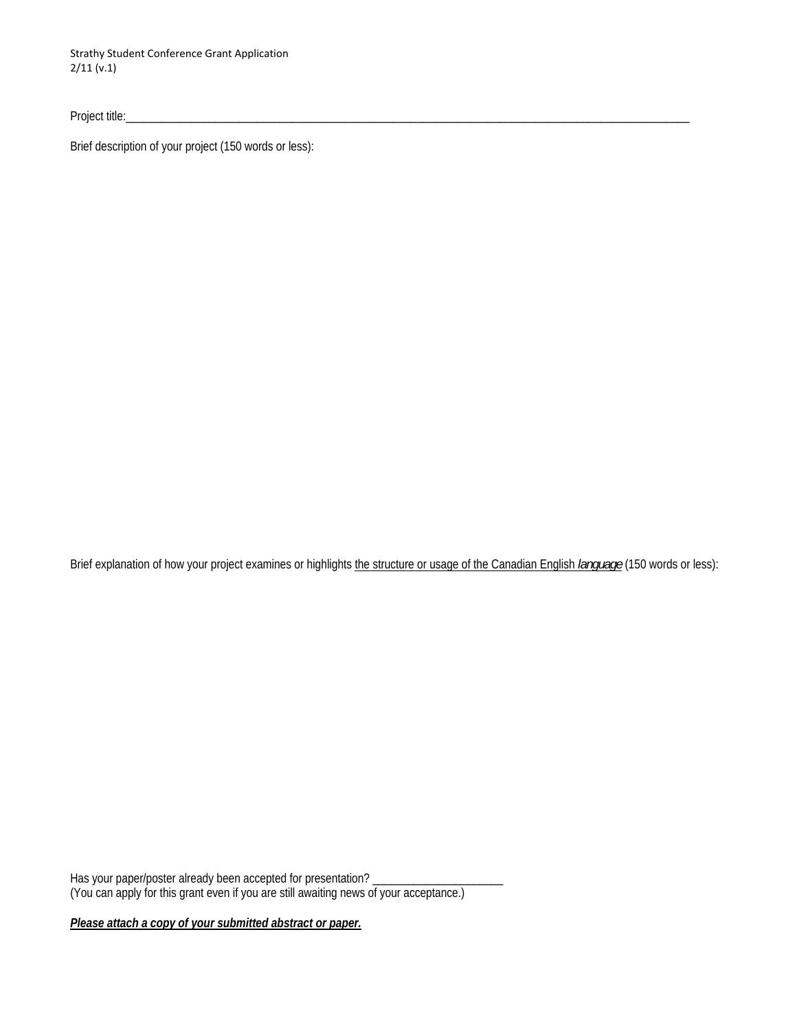Strathy Student Conference Grant Application 2/11 (v.1)

Project title:

Brief description of your project (150 words or less):

Brief explanation of how your project examines or highlights the structure or usage of the Canadian English *language* (150 words or less):

Has your paper/poster already been accepted for presentation? \_\_\_\_\_\_\_\_\_\_\_\_\_\_\_\_\_\_ (You can apply for this grant even if you are still awaiting news of your acceptance.)

*Please attach a copy of your submitted abstract or paper.*